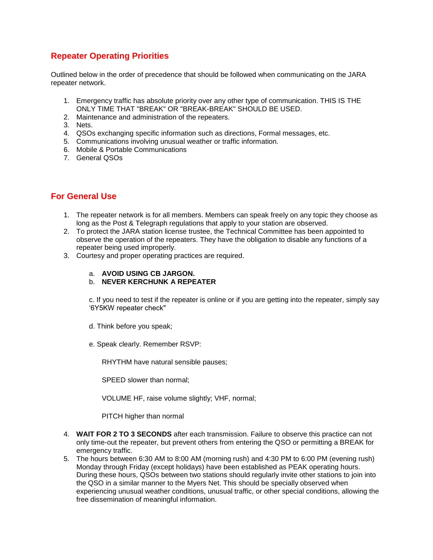## **Repeater Operating Priorities**

Outlined below in the order of precedence that should be followed when communicating on the JARA repeater network.

- 1. Emergency traffic has absolute priority over any other type of communication. THIS IS THE ONLY TIME THAT "BREAK" OR "BREAK-BREAK" SHOULD BE USED.
- 2. Maintenance and administration of the repeaters.
- 3. Nets.
- 4. QSOs exchanging specific information such as directions, Formal messages, etc.
- 5. Communications involving unusual weather or traffic information.
- 6. Mobile & Portable Communications
- 7. General QSOs

## **For General Use**

- 1. The repeater network is for all members. Members can speak freely on any topic they choose as long as the Post & Telegraph regulations that apply to your station are observed.
- 2. To protect the JARA station license trustee, the Technical Committee has been appointed to observe the operation of the repeaters. They have the obligation to disable any functions of a repeater being used improperly.
- 3. Courtesy and proper operating practices are required.
	- a. **AVOID USING CB JARGON.**
	- b. **NEVER KERCHUNK A REPEATER**

c. If you need to test if the repeater is online or if you are getting into the repeater, simply say '6Y5KW repeater check"

- d. Think before you speak;
- e. Speak clearly. Remember RSVP:

RHYTHM have natural sensible pauses;

SPEED slower than normal;

VOLUME HF, raise volume slightly; VHF, normal;

PITCH higher than normal

- 4. **WAIT FOR 2 TO 3 SECONDS** after each transmission. Failure to observe this practice can not only time-out the repeater, but prevent others from entering the QSO or permitting a BREAK for emergency traffic.
- 5. The hours between 6:30 AM to 8:00 AM (morning rush) and 4:30 PM to 6:00 PM (evening rush) Monday through Friday (except holidays) have been established as PEAK operating hours. During these hours, QSOs between two stations should regularly invite other stations to join into the QSO in a similar manner to the Myers Net. This should be specially observed when experiencing unusual weather conditions, unusual traffic, or other special conditions, allowing the free dissemination of meaningful information.